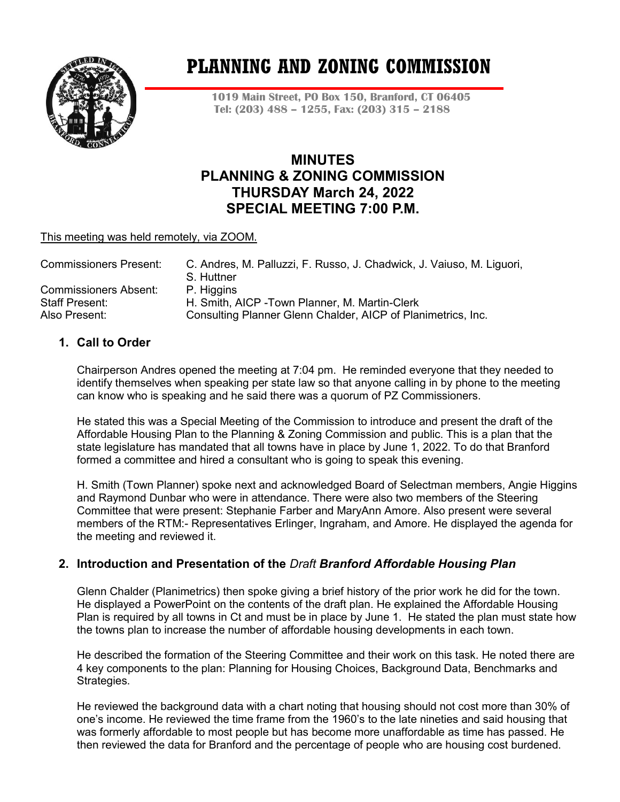

# **PLANNING AND ZONING COMMISSION**

**1019 Main Street, PO Box 150, Branford, CT 06405 Tel: (203) 488 – 1255, Fax: (203) 315 – 2188**

## **MINUTES PLANNING & ZONING COMMISSION THURSDAY March 24, 2022 SPECIAL MEETING 7:00 P.M.**

#### This meeting was held remotely, via ZOOM.

| <b>Commissioners Present:</b> | C. Andres, M. Palluzzi, F. Russo, J. Chadwick, J. Vaiuso, M. Liguori,<br>S. Huttner |
|-------------------------------|-------------------------------------------------------------------------------------|
| <b>Commissioners Absent:</b>  | P. Higgins                                                                          |
|                               |                                                                                     |
| <b>Staff Present:</b>         | H. Smith, AICP - Town Planner, M. Martin-Clerk                                      |
| Also Present:                 | Consulting Planner Glenn Chalder, AICP of Planimetrics, Inc.                        |

## **1. Call to Order**

Chairperson Andres opened the meeting at 7:04 pm. He reminded everyone that they needed to identify themselves when speaking per state law so that anyone calling in by phone to the meeting can know who is speaking and he said there was a quorum of PZ Commissioners.

He stated this was a Special Meeting of the Commission to introduce and present the draft of the Affordable Housing Plan to the Planning & Zoning Commission and public. This is a plan that the state legislature has mandated that all towns have in place by June 1, 2022. To do that Branford formed a committee and hired a consultant who is going to speak this evening.

H. Smith (Town Planner) spoke next and acknowledged Board of Selectman members, Angie Higgins and Raymond Dunbar who were in attendance. There were also two members of the Steering Committee that were present: Stephanie Farber and MaryAnn Amore. Also present were several members of the RTM:- Representatives Erlinger, Ingraham, and Amore. He displayed the agenda for the meeting and reviewed it.

## **2. Introduction and Presentation of the** *Draft Branford Affordable Housing Plan*

Glenn Chalder (Planimetrics) then spoke giving a brief history of the prior work he did for the town. He displayed a PowerPoint on the contents of the draft plan. He explained the Affordable Housing Plan is required by all towns in Ct and must be in place by June 1. He stated the plan must state how the towns plan to increase the number of affordable housing developments in each town.

He described the formation of the Steering Committee and their work on this task. He noted there are 4 key components to the plan: Planning for Housing Choices, Background Data, Benchmarks and Strategies.

He reviewed the background data with a chart noting that housing should not cost more than 30% of one's income. He reviewed the time frame from the 1960's to the late nineties and said housing that was formerly affordable to most people but has become more unaffordable as time has passed. He then reviewed the data for Branford and the percentage of people who are housing cost burdened.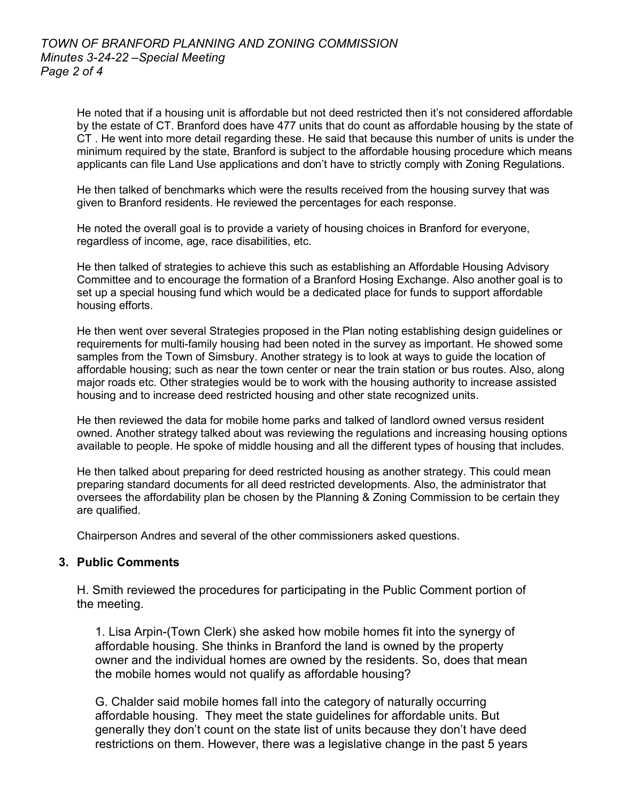He noted that if a housing unit is affordable but not deed restricted then it's not considered affordable by the estate of CT. Branford does have 477 units that do count as affordable housing by the state of CT . He went into more detail regarding these. He said that because this number of units is under the minimum required by the state, Branford is subject to the affordable housing procedure which means applicants can file Land Use applications and don't have to strictly comply with Zoning Regulations.

He then talked of benchmarks which were the results received from the housing survey that was given to Branford residents. He reviewed the percentages for each response.

He noted the overall goal is to provide a variety of housing choices in Branford for everyone, regardless of income, age, race disabilities, etc.

He then talked of strategies to achieve this such as establishing an Affordable Housing Advisory Committee and to encourage the formation of a Branford Hosing Exchange. Also another goal is to set up a special housing fund which would be a dedicated place for funds to support affordable housing efforts.

He then went over several Strategies proposed in the Plan noting establishing design guidelines or requirements for multi-family housing had been noted in the survey as important. He showed some samples from the Town of Simsbury. Another strategy is to look at ways to guide the location of affordable housing; such as near the town center or near the train station or bus routes. Also, along major roads etc. Other strategies would be to work with the housing authority to increase assisted housing and to increase deed restricted housing and other state recognized units.

He then reviewed the data for mobile home parks and talked of landlord owned versus resident owned. Another strategy talked about was reviewing the regulations and increasing housing options available to people. He spoke of middle housing and all the different types of housing that includes.

He then talked about preparing for deed restricted housing as another strategy. This could mean preparing standard documents for all deed restricted developments. Also, the administrator that oversees the affordability plan be chosen by the Planning & Zoning Commission to be certain they are qualified.

Chairperson Andres and several of the other commissioners asked questions.

#### **3. Public Comments**

H. Smith reviewed the procedures for participating in the Public Comment portion of the meeting.

1. Lisa Arpin-(Town Clerk) she asked how mobile homes fit into the synergy of affordable housing. She thinks in Branford the land is owned by the property owner and the individual homes are owned by the residents. So, does that mean the mobile homes would not qualify as affordable housing?

G. Chalder said mobile homes fall into the category of naturally occurring affordable housing. They meet the state guidelines for affordable units. But generally they don't count on the state list of units because they don't have deed restrictions on them. However, there was a legislative change in the past 5 years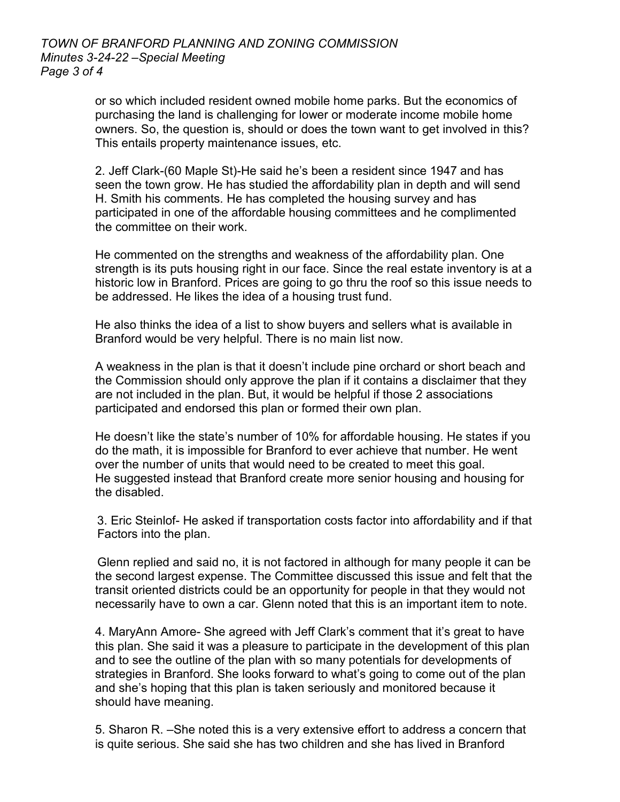or so which included resident owned mobile home parks. But the economics of purchasing the land is challenging for lower or moderate income mobile home owners. So, the question is, should or does the town want to get involved in this? This entails property maintenance issues, etc.

2. Jeff Clark-(60 Maple St)-He said he's been a resident since 1947 and has seen the town grow. He has studied the affordability plan in depth and will send H. Smith his comments. He has completed the housing survey and has participated in one of the affordable housing committees and he complimented the committee on their work.

He commented on the strengths and weakness of the affordability plan. One strength is its puts housing right in our face. Since the real estate inventory is at a historic low in Branford. Prices are going to go thru the roof so this issue needs to be addressed. He likes the idea of a housing trust fund.

He also thinks the idea of a list to show buyers and sellers what is available in Branford would be very helpful. There is no main list now.

A weakness in the plan is that it doesn't include pine orchard or short beach and the Commission should only approve the plan if it contains a disclaimer that they are not included in the plan. But, it would be helpful if those 2 associations participated and endorsed this plan or formed their own plan.

He doesn't like the state's number of 10% for affordable housing. He states if you do the math, it is impossible for Branford to ever achieve that number. He went over the number of units that would need to be created to meet this goal. He suggested instead that Branford create more senior housing and housing for the disabled.

 3. Eric Steinlof- He asked if transportation costs factor into affordability and if that Factors into the plan.

 Glenn replied and said no, it is not factored in although for many people it can be the second largest expense. The Committee discussed this issue and felt that the transit oriented districts could be an opportunity for people in that they would not necessarily have to own a car. Glenn noted that this is an important item to note.

4. MaryAnn Amore- She agreed with Jeff Clark's comment that it's great to have this plan. She said it was a pleasure to participate in the development of this plan and to see the outline of the plan with so many potentials for developments of strategies in Branford. She looks forward to what's going to come out of the plan and she's hoping that this plan is taken seriously and monitored because it should have meaning.

5. Sharon R. –She noted this is a very extensive effort to address a concern that is quite serious. She said she has two children and she has lived in Branford